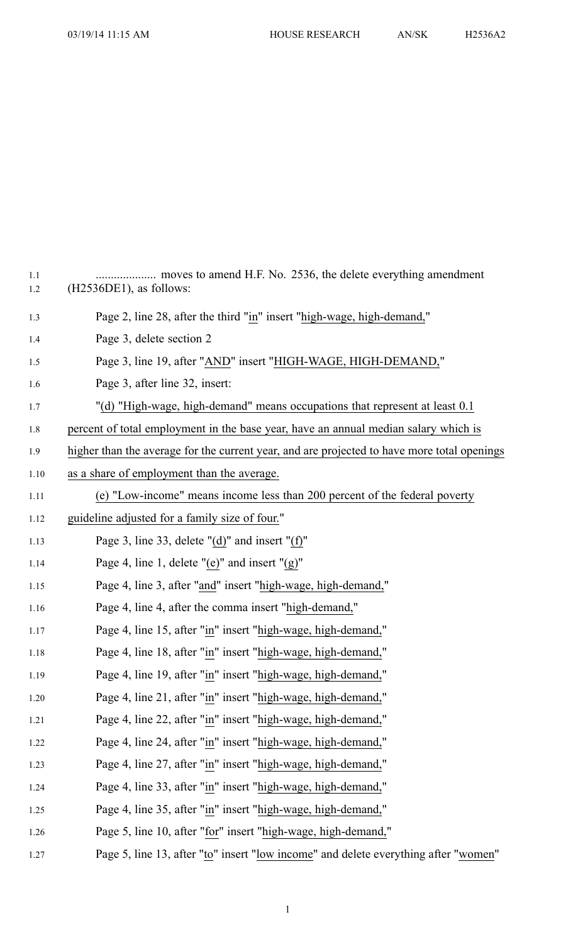| moves to amend H.F. No. 2536, the delete everything amendment<br>$(H2536DE1)$ , as follows: |
|---------------------------------------------------------------------------------------------|
| Page 2, line 28, after the third "in" insert "high-wage, high-demand,"                      |
| Page 3, delete section 2                                                                    |
| Page 3, line 19, after "AND" insert "HIGH-WAGE, HIGH-DEMAND,"                               |
| Page 3, after line 32, insert:                                                              |
| "(d) "High-wage, high-demand" means occupations that represent at least 0.1                 |
| percent of total employment in the base year, have an annual median salary which is         |
| higher than the average for the current year, and are projected to have more total openings |
| as a share of employment than the average.                                                  |
| (e) "Low-income" means income less than 200 percent of the federal poverty                  |
| guideline adjusted for a family size of four."                                              |
| Page 3, line 33, delete " $(d)$ " and insert " $(f)$ "                                      |
| Page 4, line 1, delete "(e)" and insert " $(g)$ "                                           |
| Page 4, line 3, after "and" insert "high-wage, high-demand,"                                |
| Page 4, line 4, after the comma insert "high-demand,"                                       |
| Page 4, line 15, after "in" insert "high-wage, high-demand,"                                |
| Page 4, line 18, after "in" insert "high-wage, high-demand,"                                |
| Page 4, line 19, after "in" insert "high-wage, high-demand,"                                |
| Page 4, line 21, after "in" insert "high-wage, high-demand,"                                |
| Page 4, line 22, after "in" insert "high-wage, high-demand,"                                |
| Page 4, line 24, after "in" insert "high-wage, high-demand,"                                |
| Page 4, line 27, after "in" insert "high-wage, high-demand,"                                |
| Page 4, line 33, after "in" insert "high-wage, high-demand,"                                |
| Page 4, line 35, after "in" insert "high-wage, high-demand,"                                |
| Page 5, line 10, after "for" insert "high-wage, high-demand,"                               |
|                                                                                             |

1.27 Page 5, line 13, after "to" insert "low income" and delete everything after "women"